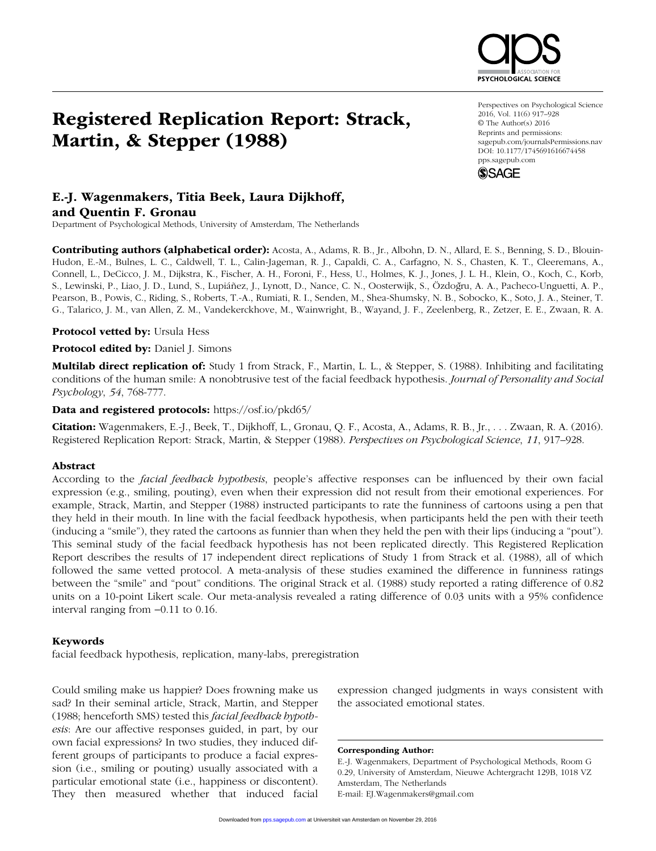# Registered Replication Report: Strack, Martin, & Stepper (1988)

#### Perspectives on Psychological Science 2016, Vol. 11(6) 917–928 © The Author(s) 2016 Reprints and permissions: sagepub.com/journalsPermissions.nav DOI: 10.1177/1745691616674458 pps.sagepub.com

**SYCHOLOGICAL SCIENCI** 



### E.-J. Wagenmakers, Titia Beek, Laura Dijkhoff, and Quentin F. Gronau

Department of Psychological Methods, University of Amsterdam, The Netherlands

Contributing authors (alphabetical order): Acosta, A., Adams, R. B., Jr., Albohn, D. N., Allard, E. S., Benning, S. D., Blouin-Hudon, E.-M., Bulnes, L. C., Caldwell, T. L., Calin-Jageman, R. J., Capaldi, C. A., Carfagno, N. S., Chasten, K. T., Cleeremans, A., Connell, L., DeCicco, J. M., Dijkstra, K., Fischer, A. H., Foroni, F., Hess, U., Holmes, K. J., Jones, J. L. H., Klein, O., Koch, C., Korb, S., Lewinski, P., Liao, J. D., Lund, S., Lupiáñez, J., Lynott, D., Nance, C. N., Oosterwijk, S., Özdoğru, A. A., Pacheco-Unguetti, A. P., Pearson, B., Powis, C., Riding, S., Roberts, T.-A., Rumiati, R. I., Senden, M., Shea-Shumsky, N. B., Sobocko, K., Soto, J. A., Steiner, T. G., Talarico, J. M., van Allen, Z. M., Vandekerckhove, M., Wainwright, B., Wayand, J. F., Zeelenberg, R., Zetzer, E. E., Zwaan, R. A.

Protocol vetted by: Ursula Hess

Protocol edited by: Daniel J. Simons

Multilab direct replication of: Study 1 from Strack, F., Martin, L. L., & Stepper, S. (1988). Inhibiting and facilitating conditions of the human smile: A nonobtrusive test of the facial feedback hypothesis. *Journal of Personality and Social Psychology*, *54*, 768-777.

Data and registered protocols: https://osf.io/pkd65/

Citation: Wagenmakers, E.-J., Beek, T., Dijkhoff, L., Gronau, Q. F., Acosta, A., Adams, R. B., Jr., . . . Zwaan, R. A. (2016). Registered Replication Report: Strack, Martin, & Stepper (1988). *Perspectives on Psychological Science*, *11*, 917–928.

### Abstract

According to the *facial feedback hypothesis*, people's affective responses can be influenced by their own facial expression (e.g., smiling, pouting), even when their expression did not result from their emotional experiences. For example, Strack, Martin, and Stepper (1988) instructed participants to rate the funniness of cartoons using a pen that they held in their mouth. In line with the facial feedback hypothesis, when participants held the pen with their teeth (inducing a "smile"), they rated the cartoons as funnier than when they held the pen with their lips (inducing a "pout"). This seminal study of the facial feedback hypothesis has not been replicated directly. This Registered Replication Report describes the results of 17 independent direct replications of Study 1 from Strack et al. (1988), all of which followed the same vetted protocol. A meta-analysis of these studies examined the difference in funniness ratings between the "smile" and "pout" conditions. The original Strack et al. (1988) study reported a rating difference of 0.82 units on a 10-point Likert scale. Our meta-analysis revealed a rating difference of 0.03 units with a 95% confidence interval ranging from −0.11 to 0.16.

### Keywords

facial feedback hypothesis, replication, many-labs, preregistration

Could smiling make us happier? Does frowning make us sad? In their seminal article, Strack, Martin, and Stepper (1988; henceforth SMS) tested this *facial feedback hypothesis*: Are our affective responses guided, in part, by our own facial expressions? In two studies, they induced different groups of participants to produce a facial expression (i.e., smiling or pouting) usually associated with a particular emotional state (i.e., happiness or discontent). They then measured whether that induced facial expression changed judgments in ways consistent with the associated emotional states.

Corresponding Author:

E.-J. Wagenmakers, Department of Psychological Methods, Room G 0.29, University of Amsterdam, Nieuwe Achtergracht 129B, 1018 VZ Amsterdam, The Netherlands E-mail: EJ.Wagenmakers@gmail.com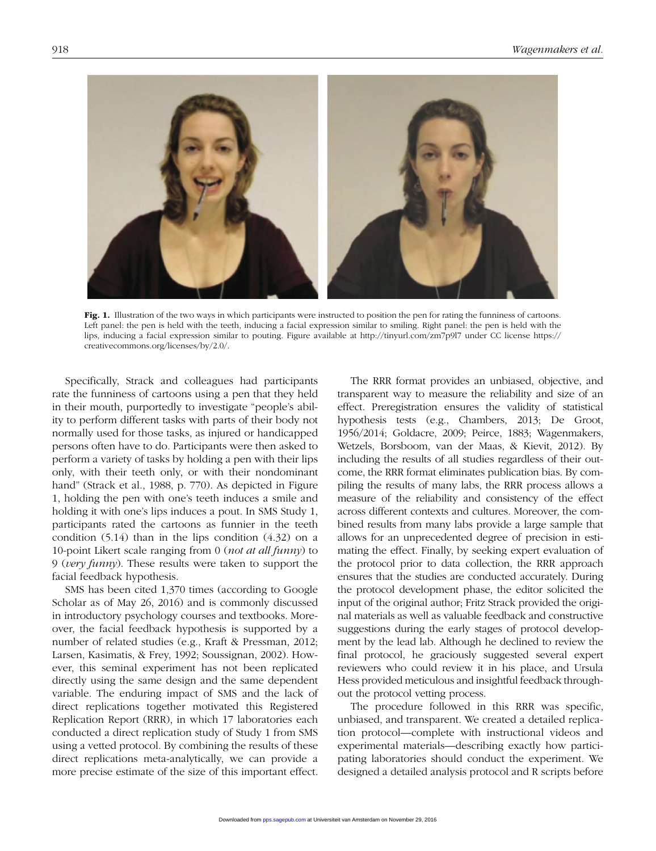

Fig. 1. Illustration of the two ways in which participants were instructed to position the pen for rating the funniness of cartoons. Left panel: the pen is held with the teeth, inducing a facial expression similar to smiling. Right panel: the pen is held with the lips, inducing a facial expression similar to pouting. Figure available at http://tinyurl.com/zm7p9l7 under CC license https:// creativecommons.org/licenses/by/2.0/.

Specifically, Strack and colleagues had participants rate the funniness of cartoons using a pen that they held in their mouth, purportedly to investigate "people's ability to perform different tasks with parts of their body not normally used for those tasks, as injured or handicapped persons often have to do. Participants were then asked to perform a variety of tasks by holding a pen with their lips only, with their teeth only, or with their nondominant hand" (Strack et al., 1988, p. 770). As depicted in Figure 1, holding the pen with one's teeth induces a smile and holding it with one's lips induces a pout. In SMS Study 1, participants rated the cartoons as funnier in the teeth condition (5.14) than in the lips condition (4.32) on a 10-point Likert scale ranging from 0 (*not at all funny*) to 9 (*very funny*). These results were taken to support the facial feedback hypothesis.

SMS has been cited 1,370 times (according to Google Scholar as of May 26, 2016) and is commonly discussed in introductory psychology courses and textbooks. Moreover, the facial feedback hypothesis is supported by a number of related studies (e.g., Kraft & Pressman, 2012; Larsen, Kasimatis, & Frey, 1992; Soussignan, 2002). However, this seminal experiment has not been replicated directly using the same design and the same dependent variable. The enduring impact of SMS and the lack of direct replications together motivated this Registered Replication Report (RRR), in which 17 laboratories each conducted a direct replication study of Study 1 from SMS using a vetted protocol. By combining the results of these direct replications meta-analytically, we can provide a more precise estimate of the size of this important effect.

The RRR format provides an unbiased, objective, and transparent way to measure the reliability and size of an effect. Preregistration ensures the validity of statistical hypothesis tests (e.g., Chambers, 2013; De Groot, 1956/2014; Goldacre, 2009; Peirce, 1883; Wagenmakers, Wetzels, Borsboom, van der Maas, & Kievit, 2012). By including the results of all studies regardless of their outcome, the RRR format eliminates publication bias. By compiling the results of many labs, the RRR process allows a measure of the reliability and consistency of the effect across different contexts and cultures. Moreover, the combined results from many labs provide a large sample that allows for an unprecedented degree of precision in estimating the effect. Finally, by seeking expert evaluation of the protocol prior to data collection, the RRR approach ensures that the studies are conducted accurately. During the protocol development phase, the editor solicited the input of the original author; Fritz Strack provided the original materials as well as valuable feedback and constructive suggestions during the early stages of protocol development by the lead lab. Although he declined to review the final protocol, he graciously suggested several expert reviewers who could review it in his place, and Ursula Hess provided meticulous and insightful feedback throughout the protocol vetting process.

The procedure followed in this RRR was specific, unbiased, and transparent. We created a detailed replication protocol—complete with instructional videos and experimental materials—describing exactly how participating laboratories should conduct the experiment. We designed a detailed analysis protocol and R scripts before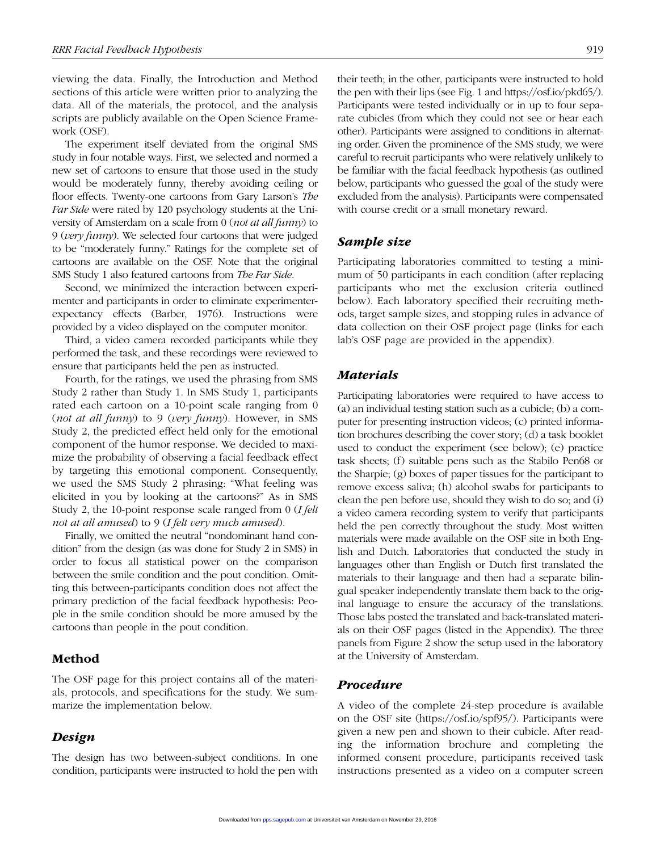viewing the data. Finally, the Introduction and Method sections of this article were written prior to analyzing the data. All of the materials, the protocol, and the analysis scripts are publicly available on the Open Science Framework (OSF).

The experiment itself deviated from the original SMS study in four notable ways. First, we selected and normed a new set of cartoons to ensure that those used in the study would be moderately funny, thereby avoiding ceiling or floor effects. Twenty-one cartoons from Gary Larson's *The Far Side* were rated by 120 psychology students at the University of Amsterdam on a scale from 0 (*not at all funny*) to 9 (*very funny*). We selected four cartoons that were judged to be "moderately funny." Ratings for the complete set of cartoons are available on the OSF. Note that the original SMS Study 1 also featured cartoons from *The Far Side*.

Second, we minimized the interaction between experimenter and participants in order to eliminate experimenterexpectancy effects (Barber, 1976). Instructions were provided by a video displayed on the computer monitor.

Third, a video camera recorded participants while they performed the task, and these recordings were reviewed to ensure that participants held the pen as instructed.

Fourth, for the ratings, we used the phrasing from SMS Study 2 rather than Study 1. In SMS Study 1, participants rated each cartoon on a 10-point scale ranging from 0 (*not at all funny*) to 9 (*very funny*). However, in SMS Study 2, the predicted effect held only for the emotional component of the humor response. We decided to maximize the probability of observing a facial feedback effect by targeting this emotional component. Consequently, we used the SMS Study 2 phrasing: "What feeling was elicited in you by looking at the cartoons?" As in SMS Study 2, the 10-point response scale ranged from 0 (*I felt not at all amused*) to 9 (*I felt very much amused*).

Finally, we omitted the neutral "nondominant hand condition" from the design (as was done for Study 2 in SMS) in order to focus all statistical power on the comparison between the smile condition and the pout condition. Omitting this between-participants condition does not affect the primary prediction of the facial feedback hypothesis: People in the smile condition should be more amused by the cartoons than people in the pout condition.

### Method

The OSF page for this project contains all of the materials, protocols, and specifications for the study. We summarize the implementation below.

### *Design*

The design has two between-subject conditions. In one condition, participants were instructed to hold the pen with their teeth; in the other, participants were instructed to hold the pen with their lips (see Fig. 1 and https://osf.io/pkd65/). Participants were tested individually or in up to four separate cubicles (from which they could not see or hear each other). Participants were assigned to conditions in alternating order. Given the prominence of the SMS study, we were careful to recruit participants who were relatively unlikely to be familiar with the facial feedback hypothesis (as outlined below, participants who guessed the goal of the study were excluded from the analysis). Participants were compensated with course credit or a small monetary reward.

### *Sample size*

Participating laboratories committed to testing a minimum of 50 participants in each condition (after replacing participants who met the exclusion criteria outlined below). Each laboratory specified their recruiting methods, target sample sizes, and stopping rules in advance of data collection on their OSF project page (links for each lab's OSF page are provided in the appendix).

### *Materials*

Participating laboratories were required to have access to (a) an individual testing station such as a cubicle; (b) a computer for presenting instruction videos; (c) printed information brochures describing the cover story; (d) a task booklet used to conduct the experiment (see below); (e) practice task sheets; (f) suitable pens such as the Stabilo Pen68 or the Sharpie; (g) boxes of paper tissues for the participant to remove excess saliva; (h) alcohol swabs for participants to clean the pen before use, should they wish to do so; and (i) a video camera recording system to verify that participants held the pen correctly throughout the study. Most written materials were made available on the OSF site in both English and Dutch. Laboratories that conducted the study in languages other than English or Dutch first translated the materials to their language and then had a separate bilingual speaker independently translate them back to the original language to ensure the accuracy of the translations. Those labs posted the translated and back-translated materials on their OSF pages (listed in the Appendix). The three panels from Figure 2 show the setup used in the laboratory at the University of Amsterdam.

### *Procedure*

A video of the complete 24-step procedure is available on the OSF site (https://osf.io/spf95/). Participants were given a new pen and shown to their cubicle. After reading the information brochure and completing the informed consent procedure, participants received task instructions presented as a video on a computer screen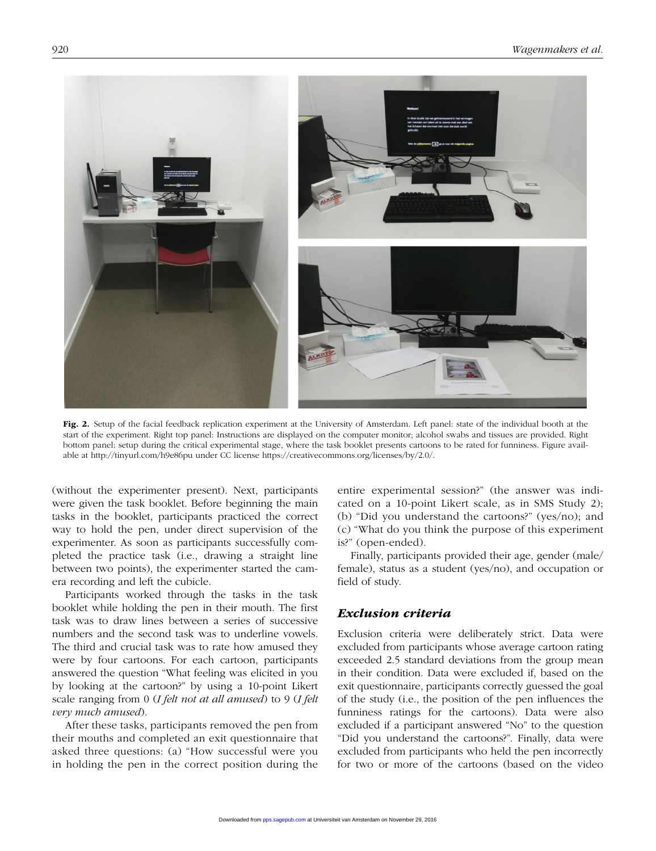

Fig. 2. Setup of the facial feedback replication experiment at the University of Amsterdam. Left panel: state of the individual booth at the start of the experiment. Right top panel: Instructions are displayed on the computer monitor; alcohol swabs and tissues are provided. Right bottom panel: setup during the critical experimental stage, where the task booklet presents cartoons to be rated for funniness. Figure available at http://tinyurl.com/h9e86pu under CC license https://creativecommons.org/licenses/by/2.0/.

(without the experimenter present). Next, participants were given the task booklet. Before beginning the main tasks in the booklet, participants practiced the correct way to hold the pen, under direct supervision of the experimenter. As soon as participants successfully completed the practice task (i.e., drawing a straight line between two points), the experimenter started the camera recording and left the cubicle.

Participants worked through the tasks in the task booklet while holding the pen in their mouth. The first task was to draw lines between a series of successive numbers and the second task was to underline vowels. The third and crucial task was to rate how amused they were by four cartoons. For each cartoon, participants answered the question "What feeling was elicited in you by looking at the cartoon?" by using a 10-point Likert scale ranging from 0 (*I felt not at all amused*) to 9 (*I felt very much amused*).

After these tasks, participants removed the pen from their mouths and completed an exit questionnaire that asked three questions: (a) "How successful were you in holding the pen in the correct position during the entire experimental session?" (the answer was indicated on a 10-point Likert scale, as in SMS Study 2); (b) "Did you understand the cartoons?" (yes/no); and (c) "What do you think the purpose of this experiment is?" (open-ended).

Finally, participants provided their age, gender (male/ female), status as a student (yes/no), and occupation or field of study.

### *Exclusion criteria*

Exclusion criteria were deliberately strict. Data were excluded from participants whose average cartoon rating exceeded 2.5 standard deviations from the group mean in their condition. Data were excluded if, based on the exit questionnaire, participants correctly guessed the goal of the study (i.e., the position of the pen influences the funniness ratings for the cartoons). Data were also excluded if a participant answered "No" to the question "Did you understand the cartoons?". Finally, data were excluded from participants who held the pen incorrectly for two or more of the cartoons (based on the video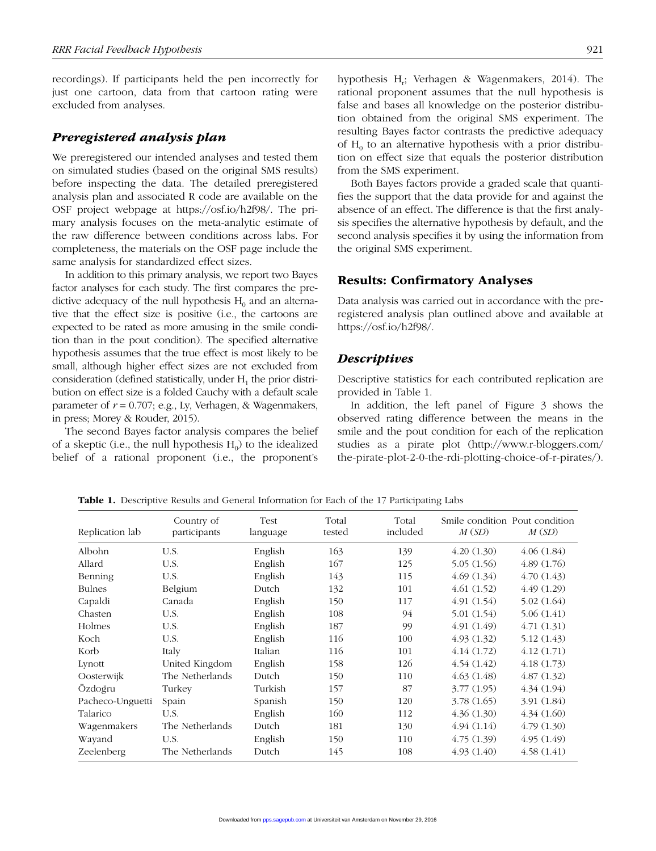recordings). If participants held the pen incorrectly for just one cartoon, data from that cartoon rating were excluded from analyses.

### *Preregistered analysis plan*

We preregistered our intended analyses and tested them on simulated studies (based on the original SMS results) before inspecting the data. The detailed preregistered analysis plan and associated R code are available on the OSF project webpage at https://osf.io/h2f98/. The primary analysis focuses on the meta-analytic estimate of the raw difference between conditions across labs. For completeness, the materials on the OSF page include the same analysis for standardized effect sizes.

In addition to this primary analysis, we report two Bayes factor analyses for each study. The first compares the predictive adequacy of the null hypothesis  $H_0$  and an alternative that the effect size is positive (i.e., the cartoons are expected to be rated as more amusing in the smile condition than in the pout condition). The specified alternative hypothesis assumes that the true effect is most likely to be small, although higher effect sizes are not excluded from consideration (defined statistically, under  $H_1$  the prior distribution on effect size is a folded Cauchy with a default scale parameter of  $r = 0.707$ ; e.g., Ly, Verhagen, & Wagenmakers, in press; Morey & Rouder, 2015).

The second Bayes factor analysis compares the belief of a skeptic (i.e., the null hypothesis  $H_0$ ) to the idealized belief of a rational proponent (i.e., the proponent's

hypothesis H<sub>r</sub>; Verhagen & Wagenmakers, 2014). The rational proponent assumes that the null hypothesis is false and bases all knowledge on the posterior distribution obtained from the original SMS experiment. The resulting Bayes factor contrasts the predictive adequacy of  $H_0$  to an alternative hypothesis with a prior distribution on effect size that equals the posterior distribution from the SMS experiment.

Both Bayes factors provide a graded scale that quantifies the support that the data provide for and against the absence of an effect. The difference is that the first analysis specifies the alternative hypothesis by default, and the second analysis specifies it by using the information from the original SMS experiment.

### Results: Confirmatory Analyses

Data analysis was carried out in accordance with the preregistered analysis plan outlined above and available at https://osf.io/h2f98/.

### *Descriptives*

Descriptive statistics for each contributed replication are provided in Table 1.

In addition, the left panel of Figure 3 shows the observed rating difference between the means in the smile and the pout condition for each of the replication studies as a pirate plot (http://www.r-bloggers.com/ the-pirate-plot-2-0-the-rdi-plotting-choice-of-r-pirates/).

Replication lab Country of participants Test language Total tested Total included Smile condition Pout condition *M* (*SD*) *M* (*SD*) Albohn U.S. English 163 139 4.20 (1.30) 4.06 (1.84) Allard U.S. English 167 125 5.05 (1.56) 4.89 (1.76) Benning U.S. English  $143$  115  $4.69$  (1.34)  $4.70$  (1.43) Bulnes Belgium Dutch 132 101 4.61 (1.52) 4.49 (1.29) Capaldi Canada English 150 117 4.91 (1.54) 5.02 (1.64) Chasten U.S. English 108 94 5.01 (1.54) 5.06 (1.41) Holmes U.S. English 187 99 4.91 (1.49) 4.71 (1.31) Koch U.S. English 116 100 4.93 (1.32) 5.12 (1.43) Korb Italy Italian 116 101 4.14 (1.72) 4.12 (1.71) Lynott United Kingdom English 158 126 4.54 (1.42) 4.18 (1.73) Oosterwijk The Netherlands Dutch 150 110 4.63 (1.48) 4.87 (1.32) Özdoğru Turkey Turkish 157 87 3.77 (1.95) 4.34 (1.94) Pacheco-Unguetti Spain Spanish 150 120 3.78 (1.65) 3.91 (1.84) Talarico U.S. English 160 112 4.36 (1.30) 4.34 (1.60) Wagenmakers The Netherlands Dutch 181 130 4.94 (1.14) 4.79 (1.30) Wayand U.S. English 150 110 4.75 (1.39) 4.95 (1.49) Zeelenberg The Netherlands Dutch 145 108 4.93 (1.40) 4.58 (1.41)

Table 1. Descriptive Results and General Information for Each of the 17 Participating Labs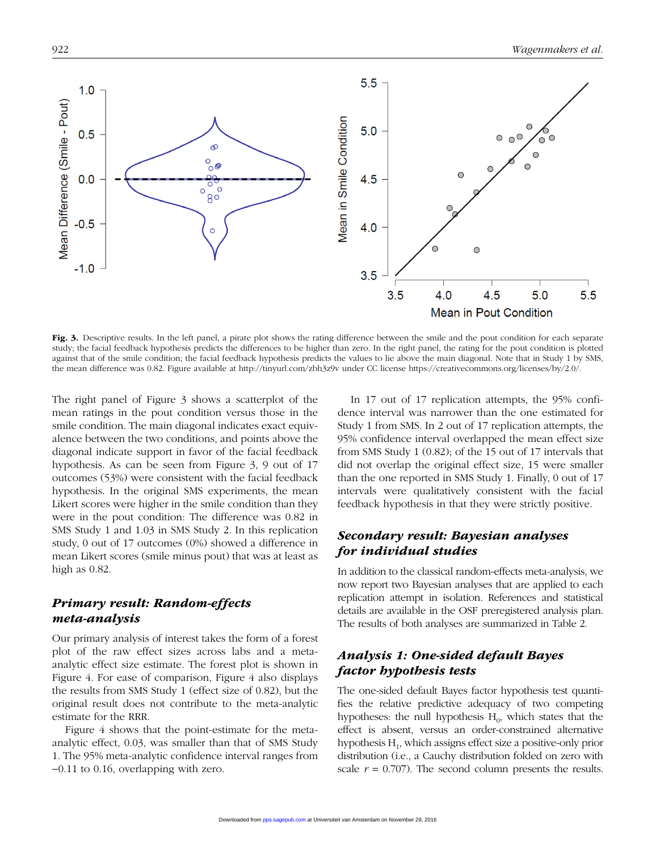

Fig. 3. Descriptive results. In the left panel, a pirate plot shows the rating difference between the smile and the pout condition for each separate study; the facial feedback hypothesis predicts the differences to be higher than zero. In the right panel, the rating for the pout condition is plotted against that of the smile condition; the facial feedback hypothesis predicts the values to lie above the main diagonal. Note that in Study 1 by SMS, the mean difference was 0.82. Figure available at http://tinyurl.com/zbh3z9v under CC license https://creativecommons.org/licenses/by/2.0/.

The right panel of Figure 3 shows a scatterplot of the mean ratings in the pout condition versus those in the smile condition. The main diagonal indicates exact equivalence between the two conditions, and points above the diagonal indicate support in favor of the facial feedback hypothesis. As can be seen from Figure 3, 9 out of 17 outcomes (53%) were consistent with the facial feedback hypothesis. In the original SMS experiments, the mean Likert scores were higher in the smile condition than they were in the pout condition: The difference was 0.82 in SMS Study 1 and 1.03 in SMS Study 2. In this replication study, 0 out of 17 outcomes (0%) showed a difference in mean Likert scores (smile minus pout) that was at least as high as 0.82.

### *Primary result: Random-effects meta-analysis*

Our primary analysis of interest takes the form of a forest plot of the raw effect sizes across labs and a metaanalytic effect size estimate. The forest plot is shown in Figure 4. For ease of comparison, Figure 4 also displays the results from SMS Study 1 (effect size of 0.82), but the original result does not contribute to the meta-analytic estimate for the RRR.

Figure 4 shows that the point-estimate for the metaanalytic effect, 0.03, was smaller than that of SMS Study 1. The 95% meta-analytic confidence interval ranges from −0.11 to 0.16, overlapping with zero.

In 17 out of 17 replication attempts, the 95% confidence interval was narrower than the one estimated for Study 1 from SMS. In 2 out of 17 replication attempts, the 95% confidence interval overlapped the mean effect size from SMS Study 1 (0.82); of the 15 out of 17 intervals that did not overlap the original effect size, 15 were smaller than the one reported in SMS Study 1. Finally, 0 out of 17 intervals were qualitatively consistent with the facial feedback hypothesis in that they were strictly positive.

### *Secondary result: Bayesian analyses for individual studies*

In addition to the classical random-effects meta-analysis, we now report two Bayesian analyses that are applied to each replication attempt in isolation. References and statistical details are available in the OSF preregistered analysis plan. The results of both analyses are summarized in Table 2.

### *Analysis 1: One-sided default Bayes factor hypothesis tests*

The one-sided default Bayes factor hypothesis test quantifies the relative predictive adequacy of two competing hypotheses: the null hypothesis  $H_0$ , which states that the effect is absent, versus an order-constrained alternative hypothesis  $H_1$ , which assigns effect size a positive-only prior distribution (i.e., a Cauchy distribution folded on zero with scale  $r = 0.707$ ). The second column presents the results.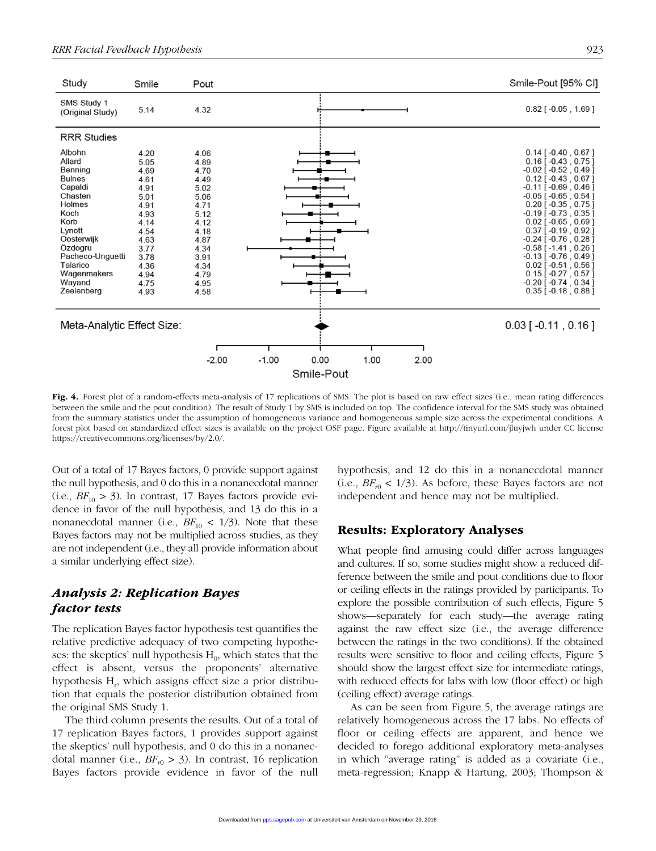

Fig. 4. Forest plot of a random-effects meta-analysis of 17 replications of SMS. The plot is based on raw effect sizes (i.e., mean rating differences between the smile and the pout condition). The result of Study 1 by SMS is included on top. The confidence interval for the SMS study was obtained from the summary statistics under the assumption of homogeneous variance and homogeneous sample size across the experimental conditions. A forest plot based on standardized effect sizes is available on the project OSF page. Figure available at http://tinyurl.com/jluyjwh under CC license https://creativecommons.org/licenses/by/2.0/.

Out of a total of 17 Bayes factors, 0 provide support against the null hypothesis, and 0 do this in a nonanecdotal manner  $(i.e., BF_{10} > 3)$ . In contrast, 17 Bayes factors provide evidence in favor of the null hypothesis, and 13 do this in a nonanecdotal manner (i.e.,  $BF_{10}$  < 1/3). Note that these Bayes factors may not be multiplied across studies, as they are not independent (i.e., they all provide information about a similar underlying effect size).

### *Analysis 2: Replication Bayes factor tests*

The replication Bayes factor hypothesis test quantifies the relative predictive adequacy of two competing hypotheses: the skeptics' null hypothesis  $H_0$ , which states that the effect is absent, versus the proponents' alternative hypothesis H<sub>r</sub>, which assigns effect size a prior distribution that equals the posterior distribution obtained from the original SMS Study 1.

The third column presents the results. Out of a total of 17 replication Bayes factors, 1 provides support against the skeptics' null hypothesis, and 0 do this in a nonanecdotal manner (i.e.,  $BF_{r0} > 3$ ). In contrast, 16 replication Bayes factors provide evidence in favor of the null hypothesis, and 12 do this in a nonanecdotal manner  $(i.e., BF_{r0} < 1/3)$ . As before, these Bayes factors are not independent and hence may not be multiplied.

### Results: Exploratory Analyses

What people find amusing could differ across languages and cultures. If so, some studies might show a reduced difference between the smile and pout conditions due to floor or ceiling effects in the ratings provided by participants. To explore the possible contribution of such effects, Figure 5 shows—separately for each study—the average rating against the raw effect size (i.e., the average difference between the ratings in the two conditions). If the obtained results were sensitive to floor and ceiling effects, Figure 5 should show the largest effect size for intermediate ratings, with reduced effects for labs with low (floor effect) or high (ceiling effect) average ratings.

As can be seen from Figure 5, the average ratings are relatively homogeneous across the 17 labs. No effects of floor or ceiling effects are apparent, and hence we decided to forego additional exploratory meta-analyses in which "average rating" is added as a covariate (i.e., meta-regression; Knapp & Hartung, 2003; Thompson &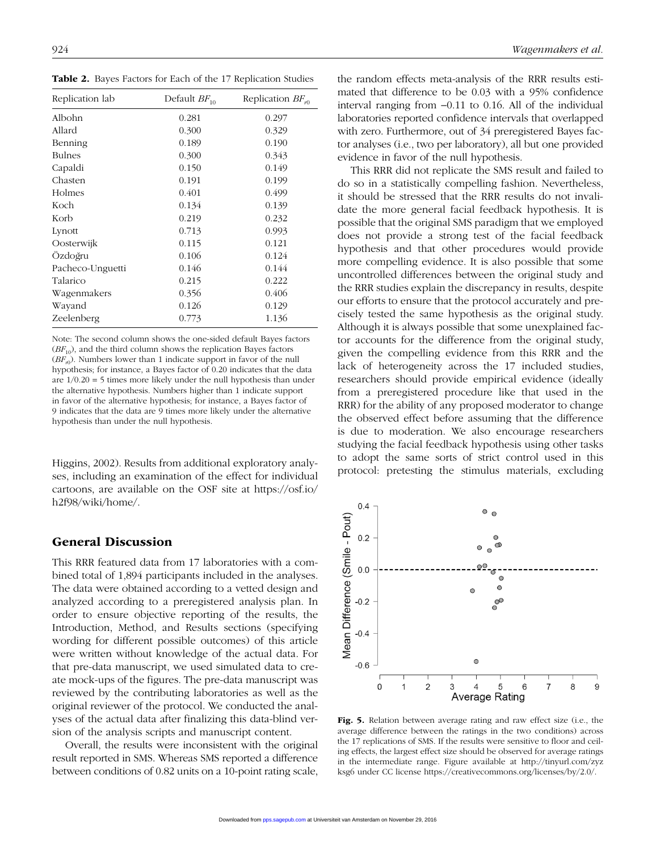Table 2. Bayes Factors for Each of the 17 Replication Studies

| Replication lab  | Default $BF_{10}$ | Replication $BF_{n0}$ |
|------------------|-------------------|-----------------------|
| Albohn           | 0.281             | 0.297                 |
| Allard           | 0.300             | 0.329                 |
| Benning          | 0.189             | 0.190                 |
| <b>Bulnes</b>    | 0.300             | 0.343                 |
| Capaldi          | 0.150             | 0.149                 |
| Chasten          | 0.191             | 0.199                 |
| Holmes           | 0.401             | 0.499                 |
| Koch             | 0.134             | 0.139                 |
| Korb             | 0.219             | 0.232                 |
| Lynott           | 0.713             | 0.993                 |
| Oosterwijk       | 0.115             | 0.121                 |
| Ozdoğru          | 0.106             | 0.124                 |
| Pacheco-Unguetti | 0.146             | 0.144                 |
| Talarico         | 0.215             | 0.222                 |
| Wagenmakers      | 0.356             | 0.406                 |
| Wayand           | 0.126             | 0.129                 |
| Zeelenberg       | 0.773             | 1.136                 |

Note: The second column shows the one-sided default Bayes factors  $(BF_{10})$ , and the third column shows the replication Bayes factors  $(BF_{r0})$ . Numbers lower than 1 indicate support in favor of the null hypothesis; for instance, a Bayes factor of 0.20 indicates that the data are  $1/0.20 = 5$  times more likely under the null hypothesis than under the alternative hypothesis. Numbers higher than 1 indicate support in favor of the alternative hypothesis; for instance, a Bayes factor of 9 indicates that the data are 9 times more likely under the alternative hypothesis than under the null hypothesis.

Higgins, 2002). Results from additional exploratory analyses, including an examination of the effect for individual cartoons, are available on the OSF site at https://osf.io/ h2f98/wiki/home/.

### General Discussion

This RRR featured data from 17 laboratories with a combined total of 1,894 participants included in the analyses. The data were obtained according to a vetted design and analyzed according to a preregistered analysis plan. In order to ensure objective reporting of the results, the Introduction, Method, and Results sections (specifying wording for different possible outcomes) of this article were written without knowledge of the actual data. For that pre-data manuscript, we used simulated data to create mock-ups of the figures. The pre-data manuscript was reviewed by the contributing laboratories as well as the original reviewer of the protocol. We conducted the analyses of the actual data after finalizing this data-blind version of the analysis scripts and manuscript content.

Overall, the results were inconsistent with the original result reported in SMS. Whereas SMS reported a difference between conditions of 0.82 units on a 10-point rating scale, the random effects meta-analysis of the RRR results estimated that difference to be 0.03 with a 95% confidence interval ranging from −0.11 to 0.16. All of the individual laboratories reported confidence intervals that overlapped with zero. Furthermore, out of 34 preregistered Bayes factor analyses (i.e., two per laboratory), all but one provided evidence in favor of the null hypothesis.

This RRR did not replicate the SMS result and failed to do so in a statistically compelling fashion. Nevertheless, it should be stressed that the RRR results do not invalidate the more general facial feedback hypothesis. It is possible that the original SMS paradigm that we employed does not provide a strong test of the facial feedback hypothesis and that other procedures would provide more compelling evidence. It is also possible that some uncontrolled differences between the original study and the RRR studies explain the discrepancy in results, despite our efforts to ensure that the protocol accurately and precisely tested the same hypothesis as the original study. Although it is always possible that some unexplained factor accounts for the difference from the original study, given the compelling evidence from this RRR and the lack of heterogeneity across the 17 included studies, researchers should provide empirical evidence (ideally from a preregistered procedure like that used in the RRR) for the ability of any proposed moderator to change the observed effect before assuming that the difference is due to moderation. We also encourage researchers studying the facial feedback hypothesis using other tasks to adopt the same sorts of strict control used in this protocol: pretesting the stimulus materials, excluding



Fig. 5. Relation between average rating and raw effect size (i.e., the average difference between the ratings in the two conditions) across the 17 replications of SMS. If the results were sensitive to floor and ceiling effects, the largest effect size should be observed for average ratings [in the intermediate range. Figure available at http://tinyurl.com/zyz](http://tinyurl.com/zyzksg6) ksg6 under CC license [https://creativecommons.org/licenses/by/2.0/.](https://creativecommons.org/licenses/by/2.0/)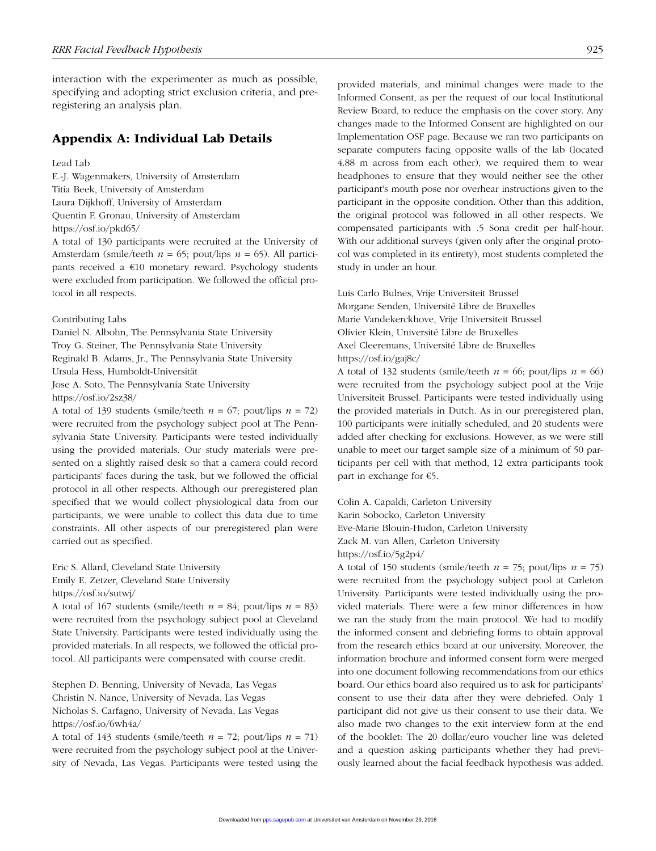interaction with the experimenter as much as possible, specifying and adopting strict exclusion criteria, and preregistering an analysis plan.

### Appendix A: Individual Lab Details

#### Lead Lab

E.-J. Wagenmakers, University of Amsterdam Titia Beek, University of Amsterdam Laura Dijkhoff, University of Amsterdam Quentin F. Gronau, University of Amsterdam https://osf.io/pkd65/

A total of 130 participants were recruited at the University of Amsterdam (smile/teeth *n* = 65; pout/lips *n* = 65). All participants received a €10 monetary reward. Psychology students were excluded from participation. We followed the official protocol in all respects.

Contributing Labs

Daniel N. Albohn, The Pennsylvania State University Troy G. Steiner, The Pennsylvania State University Reginald B. Adams, Jr., The Pennsylvania State University Ursula Hess, Humboldt-Universität Jose A. Soto, The Pennsylvania State University https://osf.io/2sz38/

A total of 139 students (smile/teeth  $n = 67$ ; pout/lips  $n = 72$ ) were recruited from the psychology subject pool at The Pennsylvania State University. Participants were tested individually using the provided materials. Our study materials were presented on a slightly raised desk so that a camera could record participants' faces during the task, but we followed the official protocol in all other respects. Although our preregistered plan specified that we would collect physiological data from our participants, we were unable to collect this data due to time constraints. All other aspects of our preregistered plan were carried out as specified.

Eric S. Allard, Cleveland State University Emily E. Zetzer, Cleveland State University https://osf.io/sutwj/

A total of 167 students (smile/teeth  $n = 84$ ; pout/lips  $n = 83$ ) were recruited from the psychology subject pool at Cleveland State University. Participants were tested individually using the provided materials. In all respects, we followed the official protocol. All participants were compensated with course credit.

Stephen D. Benning, University of Nevada, Las Vegas Christin N. Nance, University of Nevada, Las Vegas Nicholas S. Carfagno, University of Nevada, Las Vegas https://osf.io/6wh4a/

A total of 143 students (smile/teeth  $n = 72$ ; pout/lips  $n = 71$ ) were recruited from the psychology subject pool at the University of Nevada, Las Vegas. Participants were tested using the

provided materials, and minimal changes were made to the Informed Consent, as per the request of our local Institutional Review Board, to reduce the emphasis on the cover story. Any changes made to the Informed Consent are highlighted on our Implementation OSF page. Because we ran two participants on separate computers facing opposite walls of the lab (located 4.88 m across from each other), we required them to wear headphones to ensure that they would neither see the other participant's mouth pose nor overhear instructions given to the participant in the opposite condition. Other than this addition, the original protocol was followed in all other respects. We compensated participants with .5 Sona credit per half-hour. With our additional surveys (given only after the original protocol was completed in its entirety), most students completed the study in under an hour.

Luis Carlo Bulnes, Vrije Universiteit Brussel Morgane Senden, Université Libre de Bruxelles Marie Vandekerckhove, Vrije Universiteit Brussel Olivier Klein, Université Libre de Bruxelles Axel Cleeremans, Université Libre de Bruxelles https://osf.io/gaj8c/

A total of 132 students (smile/teeth  $n = 66$ ; pout/lips  $n = 66$ ) were recruited from the psychology subject pool at the Vrije Universiteit Brussel. Participants were tested individually using the provided materials in Dutch. As in our preregistered plan, 100 participants were initially scheduled, and 20 students were added after checking for exclusions. However, as we were still unable to meet our target sample size of a minimum of 50 participants per cell with that method, 12 extra participants took part in exchange for €5.

Colin A. Capaldi, Carleton University Karin Sobocko, Carleton University Eve-Marie Blouin-Hudon, Carleton University Zack M. van Allen, Carleton University https://osf.io/5g2p4/

A total of 150 students (smile/teeth  $n = 75$ ; pout/lips  $n = 75$ ) were recruited from the psychology subject pool at Carleton University. Participants were tested individually using the provided materials. There were a few minor differences in how we ran the study from the main protocol. We had to modify the informed consent and debriefing forms to obtain approval from the research ethics board at our university. Moreover, the information brochure and informed consent form were merged into one document following recommendations from our ethics board. Our ethics board also required us to ask for participants' consent to use their data after they were debriefed. Only 1 participant did not give us their consent to use their data. We also made two changes to the exit interview form at the end of the booklet: The 20 dollar/euro voucher line was deleted and a question asking participants whether they had previously learned about the facial feedback hypothesis was added.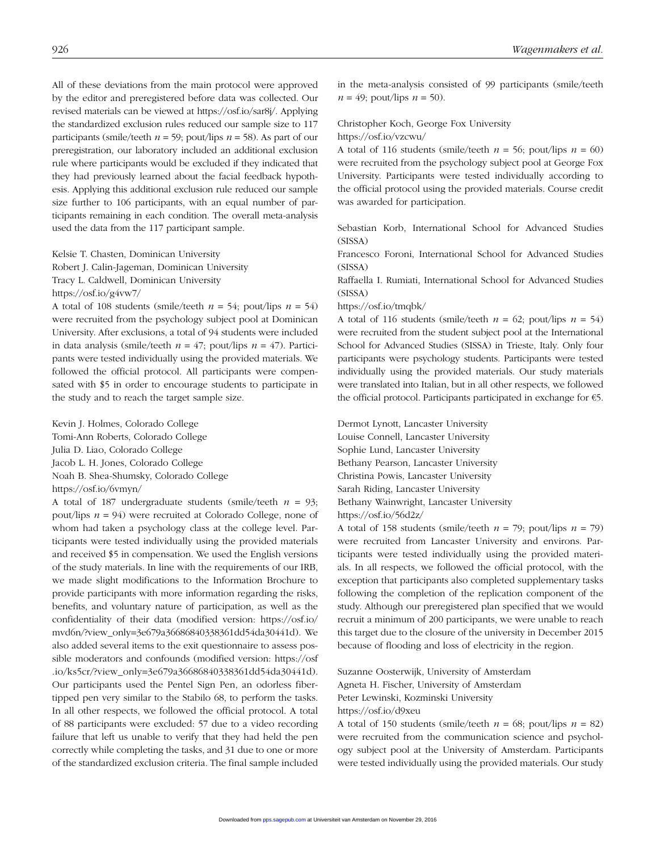All of these deviations from the main protocol were approved by the editor and preregistered before data was collected. Our revised materials can be viewed at https://osf.io/sar8j/. Applying the standardized exclusion rules reduced our sample size to 117 participants (smile/teeth  $n = 59$ ; pout/lips  $n = 58$ ). As part of our preregistration, our laboratory included an additional exclusion rule where participants would be excluded if they indicated that they had previously learned about the facial feedback hypothesis. Applying this additional exclusion rule reduced our sample size further to 106 participants, with an equal number of participants remaining in each condition. The overall meta-analysis used the data from the 117 participant sample.

Kelsie T. Chasten, Dominican University Robert J. Calin-Jageman, Dominican University Tracy L. Caldwell, Dominican University https://osf.io/g4vw7/

A total of 108 students (smile/teeth  $n = 54$ ; pout/lips  $n = 54$ ) were recruited from the psychology subject pool at Dominican University. After exclusions, a total of 94 students were included in data analysis (smile/teeth  $n = 47$ ; pout/lips  $n = 47$ ). Participants were tested individually using the provided materials. We followed the official protocol. All participants were compensated with \$5 in order to encourage students to participate in the study and to reach the target sample size.

Kevin J. Holmes, Colorado College Tomi-Ann Roberts, Colorado College Julia D. Liao, Colorado College Jacob L. H. Jones, Colorado College Noah B. Shea-Shumsky, Colorado College https://osf.io/6vmyn/

A total of 187 undergraduate students (smile/teeth  $n = 93$ ; pout/lips *n* = 94) were recruited at Colorado College, none of whom had taken a psychology class at the college level. Participants were tested individually using the provided materials and received \$5 in compensation. We used the English versions of the study materials. In line with the requirements of our IRB, we made slight modifications to the Information Brochure to provide participants with more information regarding the risks, benefits, and voluntary nature of participation, as well as the confidentiality of their data (modified version: https://osf.io/ [mvd6n/?view\\_only=3e679a36686840338361dd54da30441d\). We](https://osf.io/mvd6n/?view_only=3e679a36686840338361dd54da30441d)  also added several items to the exit questionnaire to assess possible moderators and confounds (modified version: https://osf [.io/ks5cr/?view\\_only=3e679a36686840338361dd54da30441d\).](https://osf.io/ks5cr/?view_only=3e679a36686840338361dd54da30441d)  Our participants used the Pentel Sign Pen, an odorless fibertipped pen very similar to the Stabilo 68, to perform the tasks. In all other respects, we followed the official protocol. A total of 88 participants were excluded: 57 due to a video recording failure that left us unable to verify that they had held the pen correctly while completing the tasks, and 31 due to one or more of the standardized exclusion criteria. The final sample included

in the meta-analysis consisted of 99 participants (smile/teeth  $n = 49$ ; pout/lips  $n = 50$ ).

### Christopher Koch, George Fox University

https://osf.io/vzcwu/

A total of 116 students (smile/teeth  $n = 56$ ; pout/lips  $n = 60$ ) were recruited from the psychology subject pool at George Fox University. Participants were tested individually according to the official protocol using the provided materials. Course credit was awarded for participation.

Sebastian Korb, International School for Advanced Studies (SISSA)

Francesco Foroni, International School for Advanced Studies (SISSA)

Raffaella I. Rumiati, International School for Advanced Studies (SISSA)

#### https://osf.io/tmqbk/

A total of 116 students (smile/teeth  $n = 62$ ; pout/lips  $n = 54$ ) were recruited from the student subject pool at the International School for Advanced Studies (SISSA) in Trieste, Italy. Only four participants were psychology students. Participants were tested individually using the provided materials. Our study materials were translated into Italian, but in all other respects, we followed the official protocol. Participants participated in exchange for €5.

Dermot Lynott, Lancaster University Louise Connell, Lancaster University Sophie Lund, Lancaster University Bethany Pearson, Lancaster University Christina Powis, Lancaster University Sarah Riding, Lancaster University Bethany Wainwright, Lancaster University https://osf.io/56d2z/

A total of 158 students (smile/teeth  $n = 79$ ; pout/lips  $n = 79$ ) were recruited from Lancaster University and environs. Participants were tested individually using the provided materials. In all respects, we followed the official protocol, with the exception that participants also completed supplementary tasks following the completion of the replication component of the study. Although our preregistered plan specified that we would recruit a minimum of 200 participants, we were unable to reach this target due to the closure of the university in December 2015 because of flooding and loss of electricity in the region.

Suzanne Oosterwijk, University of Amsterdam Agneta H. Fischer, University of Amsterdam Peter Lewinski, Kozminski University https://osf.io/d9xeu

A total of 150 students (smile/teeth  $n = 68$ ; pout/lips  $n = 82$ ) were recruited from the communication science and psychology subject pool at the University of Amsterdam. Participants were tested individually using the provided materials. Our study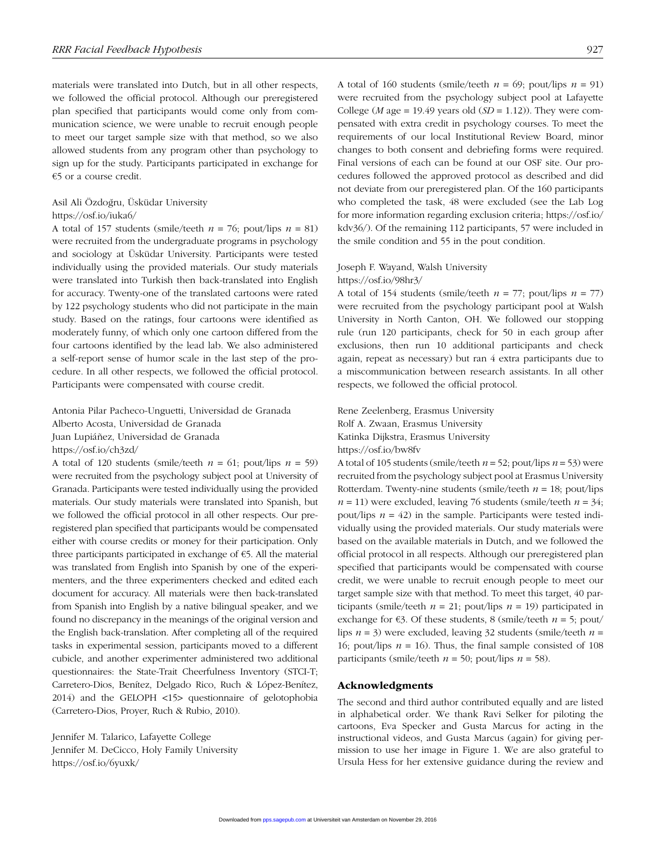materials were translated into Dutch, but in all other respects, we followed the official protocol. Although our preregistered plan specified that participants would come only from communication science, we were unable to recruit enough people to meet our target sample size with that method, so we also allowed students from any program other than psychology to sign up for the study. Participants participated in exchange for €5 or a course credit.

## Asil Ali Özdoğru, Üsküdar University

### https://osf.io/iuka6/

A total of 157 students (smile/teeth  $n = 76$ ; pout/lips  $n = 81$ ) were recruited from the undergraduate programs in psychology and sociology at Üsküdar University. Participants were tested individually using the provided materials. Our study materials were translated into Turkish then back-translated into English for accuracy. Twenty-one of the translated cartoons were rated by 122 psychology students who did not participate in the main study. Based on the ratings, four cartoons were identified as moderately funny, of which only one cartoon differed from the four cartoons identified by the lead lab. We also administered a self-report sense of humor scale in the last step of the procedure. In all other respects, we followed the official protocol. Participants were compensated with course credit.

Antonia Pilar Pacheco-Unguetti, Universidad de Granada Alberto Acosta, Universidad de Granada Juan Lupiáñez, Universidad de Granada https://osf.io/ch3zd/

A total of 120 students (smile/teeth  $n = 61$ ; pout/lips  $n = 59$ ) were recruited from the psychology subject pool at University of Granada. Participants were tested individually using the provided materials. Our study materials were translated into Spanish, but we followed the official protocol in all other respects. Our preregistered plan specified that participants would be compensated either with course credits or money for their participation. Only three participants participated in exchange of €5. All the material was translated from English into Spanish by one of the experimenters, and the three experimenters checked and edited each document for accuracy. All materials were then back-translated from Spanish into English by a native bilingual speaker, and we found no discrepancy in the meanings of the original version and the English back-translation. After completing all of the required tasks in experimental session, participants moved to a different cubicle, and another experimenter administered two additional questionnaires: the State-Trait Cheerfulness Inventory (STCI-T; Carretero-Dios, Benítez, Delgado Rico, Ruch & López-Benítez, 2014) and the GELOPH <15> questionnaire of gelotophobia (Carretero-Dios, Proyer, Ruch & Rubio, 2010).

Jennifer M. Talarico, Lafayette College Jennifer M. DeCicco, Holy Family University https://osf.io/6yuxk/

A total of 160 students (smile/teeth  $n = 69$ ; pout/lips  $n = 91$ ) were recruited from the psychology subject pool at Lafayette College (*M* age = 19.49 years old (*SD* = 1.12)). They were compensated with extra credit in psychology courses. To meet the requirements of our local Institutional Review Board, minor changes to both consent and debriefing forms were required. Final versions of each can be found at our OSF site. Our procedures followed the approved protocol as described and did not deviate from our preregistered plan. Of the 160 participants who completed the task, 48 were excluded (see the Lab Log [for more information regarding exclusion criteria; https://osf.io/](https://osf.io/kdv36/) kdv36/). Of the remaining 112 participants, 57 were included in the smile condition and 55 in the pout condition.

### Joseph F. Wayand, Walsh University

#### https://osf.io/98hr3/

A total of 154 students (smile/teeth  $n = 77$ ; pout/lips  $n = 77$ ) were recruited from the psychology participant pool at Walsh University in North Canton, OH. We followed our stopping rule (run 120 participants, check for 50 in each group after exclusions, then run 10 additional participants and check again, repeat as necessary) but ran 4 extra participants due to a miscommunication between research assistants. In all other respects, we followed the official protocol.

Rene Zeelenberg, Erasmus University Rolf A. Zwaan, Erasmus University Katinka Dijkstra, Erasmus University https://osf.io/bw8fv

A total of 105 students (smile/teeth *n* = 52; pout/lips *n* = 53) were recruited from the psychology subject pool at Erasmus University Rotterdam. Twenty-nine students (smile/teeth *n* = 18; pout/lips  $n = 11$ ) were excluded, leaving 76 students (smile/teeth  $n = 34$ ; pout/lips  $n = 42$ ) in the sample. Participants were tested individually using the provided materials. Our study materials were based on the available materials in Dutch, and we followed the official protocol in all respects. Although our preregistered plan specified that participants would be compensated with course credit, we were unable to recruit enough people to meet our target sample size with that method. To meet this target, 40 participants (smile/teeth  $n = 21$ ; pout/lips  $n = 19$ ) participated in exchange for  $\epsilon$ 3. Of these students, 8 (smile/teeth  $n = 5$ ; pout/ lips *n* = 3) were excluded, leaving 32 students (smile/teeth *n* = 16; pout/lips  $n = 16$ ). Thus, the final sample consisted of 108 participants (smile/teeth  $n = 50$ ; pout/lips  $n = 58$ ).

#### Acknowledgments

The second and third author contributed equally and are listed in alphabetical order. We thank Ravi Selker for piloting the cartoons, Eva Specker and Gusta Marcus for acting in the instructional videos, and Gusta Marcus (again) for giving permission to use her image in Figure 1. We are also grateful to Ursula Hess for her extensive guidance during the review and